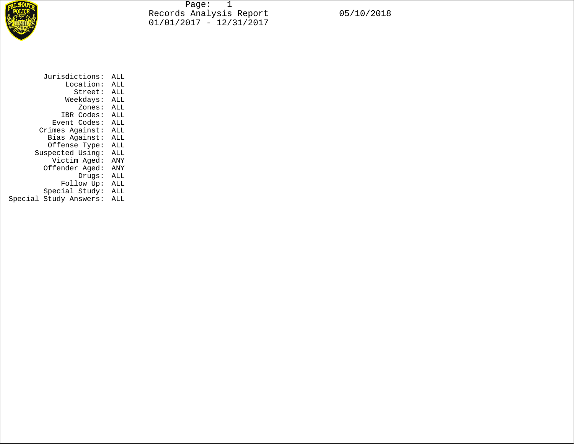

Page: 1 Records Analysis Report 05/10/2018 01/01/2017 - 12/31/2017

| Jurisdictions:         | ALL |  |  |
|------------------------|-----|--|--|
| Location:              | ALL |  |  |
| Street:                | ALL |  |  |
| Weekdays:              | ALL |  |  |
| Zones:                 | ALL |  |  |
| IBR Codes:             | ALL |  |  |
| Event Codes:           | ALL |  |  |
| Crimes Against:        | ALL |  |  |
| Bias Against:          | ALL |  |  |
| Offense Type:          | ALL |  |  |
| Suspected Using:       | ALL |  |  |
| Victim Aged:           | ANY |  |  |
| Offender Aged:         | ANY |  |  |
| Drugs:                 | ALL |  |  |
| Follow Up:             | ALL |  |  |
| Special Study:         | ALL |  |  |
| Special Study Answers: | ALL |  |  |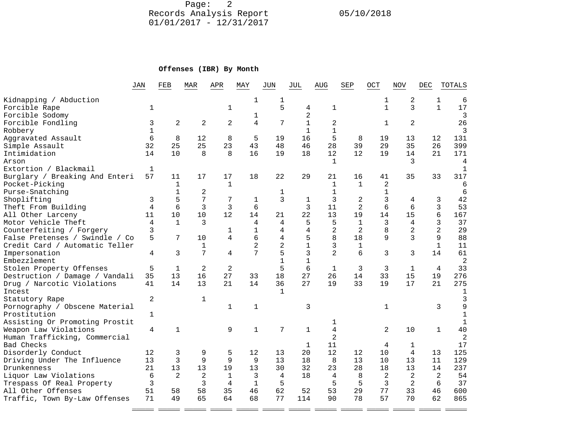Page: 2 Records Analysis Report 05/10/2018 01/01/2017 - 12/31/2017

## **Offenses (IBR) By Month**

|                                | JAN          | FEB            | MAR            | APR            | MAY          | JUN            | JUL          | AUG            | SEP            | OCT            | NOV            | DEC            | TOTALS         |
|--------------------------------|--------------|----------------|----------------|----------------|--------------|----------------|--------------|----------------|----------------|----------------|----------------|----------------|----------------|
| Kidnapping / Abduction         |              |                |                |                | 1            | 1              |              |                |                | 1              | 2              | 1              | 6              |
| Forcible Rape                  | 1            |                |                | 1              |              | 5              | 4            | 1              |                | $\mathbf{1}$   | 3              | $\mathbf{1}$   | 17             |
| Forcible Sodomy                |              |                |                |                | 1            |                | 2            |                |                |                |                |                | 3              |
| Forcible Fondling              | 3            | $\overline{2}$ | 2              | 2              | 4            | 7              | $\mathbf{1}$ | 2              |                | $\mathbf{1}$   | $\overline{2}$ |                | 26             |
| Robbery                        | $\mathbf{1}$ |                |                |                |              |                | $\mathbf{1}$ | $\mathbf{1}$   |                |                |                |                | 3              |
| Aggravated Assault             | 6            | 8              | 12             | 8              | 5            | 19             | 16           | 5              | 8              | 19             | 13             | 12             | 131            |
| Simple Assault                 | 32           | 25             | 25             | 23             | 43           | 48             | 46           | 28             | 39             | 29             | 35             | 26             | 399            |
| Intimidation                   | 14           | 10             | 8              | 8              | 16           | 19             | 18           | 12             | 12             | 19             | 14             | 21             | 171            |
| Arson                          |              |                |                |                |              |                |              | 1              |                |                | 3              |                | 4              |
| Extortion / Blackmail          | $\mathbf{1}$ |                |                |                |              |                |              |                |                |                |                |                | $\mathbf{1}$   |
| Burglary / Breaking And Enteri | 57           | 11             | 17             | 17             | 18           | 22             | 29           | 21             | 16             | 41             | 35             | 33             | 317            |
| Pocket-Picking                 |              | $\mathbf{1}$   |                | $\mathbf 1$    |              |                |              | $\mathbf{1}$   | $\mathbf{1}$   | 2              |                |                | 6              |
| Purse-Snatching                |              | 1              | 2              |                |              | 1              |              | 1              |                | 1              |                |                | 6              |
| Shoplifting                    | 3            | 5              | 7              | 7              | 1            | 3              | $\mathbf{1}$ | 3              | $\overline{c}$ | 3              | 4              | 3              | 42             |
| Theft From Building            | 4            | 6              | 3              | 3              | 6            |                | 3            | 11             | 2              | б              | 6              | 3              | 53             |
| All Other Larceny              | 11           | 10             | 10             | 12             | 14           | 21             | 22           | 13             | 19             | 14             | 15             | 6              | 167            |
| Motor Vehicle Theft            | 4            | $\mathbf{1}$   | 3              |                | 4            | 4              | 5            | 5              | $\mathbf{1}$   | 3              | 4              | 3              | 37             |
| Counterfeiting / Forgery       | 3            |                |                | 1              | $\mathbf{1}$ | 4              | 4            | 2              | $\overline{2}$ | 8              | $\overline{a}$ | $\overline{2}$ | 29             |
| False Pretenses / Swindle / Co | 5            | 7              | 10             | 4              | 6            | 4              | 5            | 8              | 18             | 9              | 3              | 9              | 88             |
| Credit Card / Automatic Teller |              |                | 1              |                | 2            | $\overline{2}$ |              | 3              | 1              |                |                | $\mathbf{1}$   | 11             |
| Impersonation                  | 4            | 3              | 7              | $\overline{4}$ | 7            | 5              | 3            | $\overline{2}$ | 6              | 3              | 3              | 14             | 61             |
| Embezzlement                   |              |                |                |                |              | $\mathbf{1}$   |              |                |                |                |                |                | $\overline{2}$ |
| Stolen Property Offenses       | 5            | $\mathbf{1}$   | $\overline{2}$ | $\overline{2}$ |              | 5              | 6            | $\mathbf{1}$   | 3              | 3              | $\mathbf{1}$   | 4              | 33             |
| Destruction / Damage / Vandali | 35           | 13             | 16             | 27             | 33           | 18             | 27           | 26             | 14             | 33             | 15             | 19             | 276            |
| Drug / Narcotic Violations     | 41           | 14             | 13             | 21             | 14           | 36             | 27           | 19             | 33             | 19             | 17             | 21             | 275            |
| Incest                         |              |                |                |                |              | $\mathbf{1}$   |              |                |                |                |                |                | 1              |
| Statutory Rape                 | 2            |                | $\mathbf 1$    |                |              |                |              |                |                |                |                |                | 3              |
| Pornography / Obscene Material |              |                |                | $\mathbf{1}$   | $\mathbf{1}$ |                | 3            |                |                | $\mathbf{1}$   |                | 3              | 9              |
| Prostitution                   | 1            |                |                |                |              |                |              |                |                |                |                |                | $\mathbf{1}$   |
| Assisting Or Promoting Prostit |              |                |                |                |              |                |              | ı              |                |                |                |                | $\mathbf{1}$   |
| Weapon Law Violations          | 4            | $\mathbf{1}$   |                | 9              | $\mathbf{1}$ | 7              | $\mathbf{1}$ | $\overline{4}$ |                | $\overline{a}$ | 10             | $\mathbf{1}$   | 40             |
| Human Trafficking, Commercial  |              |                |                |                |              |                |              | $\overline{2}$ |                |                |                |                | $\overline{2}$ |
| Bad Checks                     |              |                |                |                |              |                | 1            | 11             |                | 4              | 1              |                | 17             |
| Disorderly Conduct             | 12           | 3              | 9              | 5              | 12           | 13             | 20           | 12             | 12             | 10             | $\overline{4}$ | 13             | 125            |
| Driving Under The Influence    | 13           | 3              | 9              | 9              | 9            | 13             | 18           | 8              | 13             | 10             | 13             | 11             | 129            |
| Drunkenness                    | 21           | 13             | 13             | 19             | 13           | 30             | 32           | 23             | 28             | 18             | 13             | 14             | 237            |
| Liquor Law Violations          | 6            | 2              | $\overline{2}$ | $\mathbf{1}$   | 3            | 4              | 18           | 4              | 8              | 2              | 2              | 2              | 54             |
| Trespass Of Real Property      | 3            |                | 3              | 4              | $\mathbf{1}$ | 5              |              | 5              | 5              | 3              | $\overline{2}$ | 6              | 37             |
| All Other Offenses             | 51           | 58             | 58             | 35             | 46           | 62             | 52           | 53             | 29             | 77             | 33             | 46             | 600            |
| Traffic, Town By-Law Offenses  | 71           | 49             | 65             | 64             | 68           | 77             | 114          | 90             | 78             | 57             | 70             | 62             | 865            |

\_\_\_\_\_ \_\_\_\_\_ \_\_\_\_\_ \_\_\_\_\_ \_\_\_\_\_ \_\_\_\_\_ \_\_\_\_\_ \_\_\_\_\_ \_\_\_\_\_ \_\_\_\_\_ \_\_\_\_\_ \_\_\_\_\_ \_\_\_\_\_